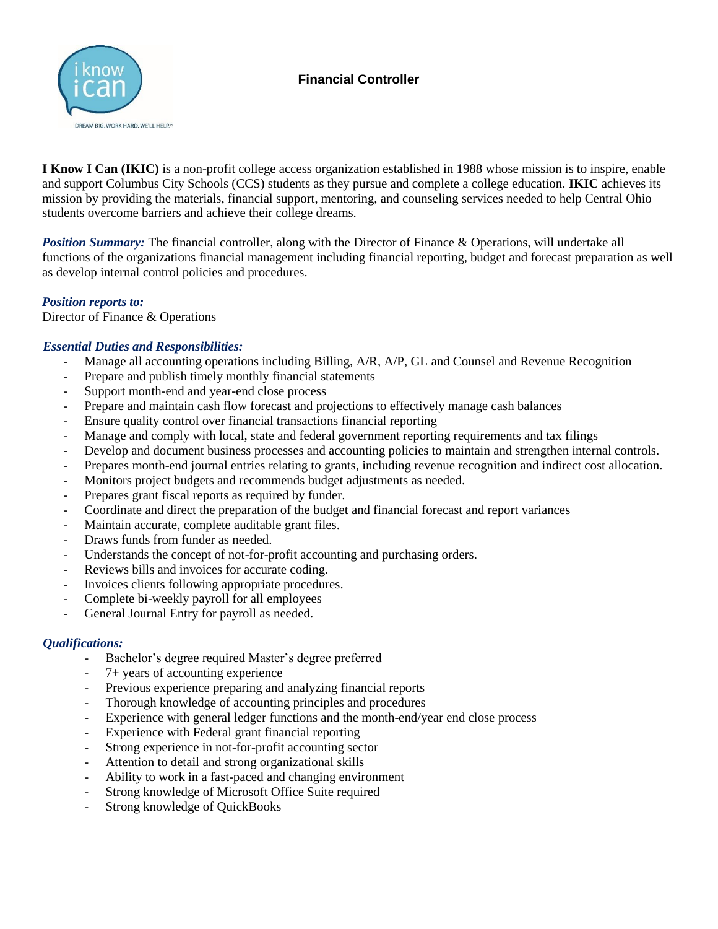# **Financial Controller**



**I Know I Can (IKIC)** is a non-profit college access organization established in 1988 whose mission is to inspire, enable and support Columbus City Schools (CCS) students as they pursue and complete a college education. **IKIC** achieves its mission by providing the materials, financial support, mentoring, and counseling services needed to help Central Ohio students overcome barriers and achieve their college dreams.

*Position Summary:* The financial controller, along with the Director of Finance & Operations, will undertake all functions of the organizations financial management including financial reporting, budget and forecast preparation as well as develop internal control policies and procedures.

## *Position reports to:*

Director of Finance & Operations

## *Essential Duties and Responsibilities:*

- Manage all accounting operations including Billing, A/R, A/P, GL and Counsel and Revenue Recognition
- Prepare and publish timely monthly financial statements
- Support month-end and year-end close process
- Prepare and maintain cash flow forecast and projections to effectively manage cash balances
- Ensure quality control over financial transactions financial reporting
- Manage and comply with local, state and federal government reporting requirements and tax filings
- Develop and document business processes and accounting policies to maintain and strengthen internal controls.
- Prepares month-end journal entries relating to grants, including revenue recognition and indirect cost allocation.
- Monitors project budgets and recommends budget adjustments as needed.
- Prepares grant fiscal reports as required by funder.
- Coordinate and direct the preparation of the budget and financial forecast and report variances
- Maintain accurate, complete auditable grant files.
- Draws funds from funder as needed.
- Understands the concept of not-for-profit accounting and purchasing orders.
- Reviews bills and invoices for accurate coding.
- Invoices clients following appropriate procedures.
- Complete bi-weekly payroll for all employees
- General Journal Entry for payroll as needed.

#### *Qualifications:*

- Bachelor's degree required Master's degree preferred
- 7+ years of accounting experience
- Previous experience preparing and analyzing financial reports
- Thorough knowledge of accounting principles and procedures
- Experience with general ledger functions and the month-end/year end close process
- Experience with Federal grant financial reporting
- Strong experience in not-for-profit accounting sector
- Attention to detail and strong organizational skills
- Ability to work in a fast-paced and changing environment
- Strong knowledge of Microsoft Office Suite required
- Strong knowledge of QuickBooks